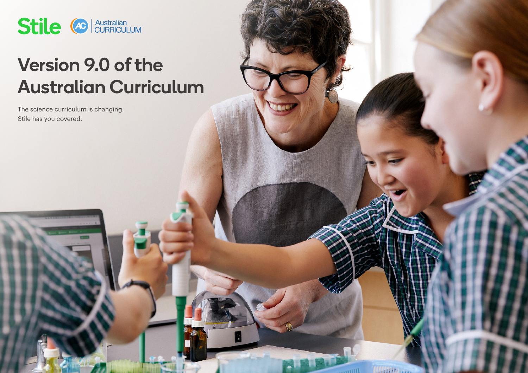

# Version 9.0 of the Australian Curriculum

 $\frac{1}{\sqrt{2}}$ 

**Chailman** 

The science curriculum is changing. Stile has you covered.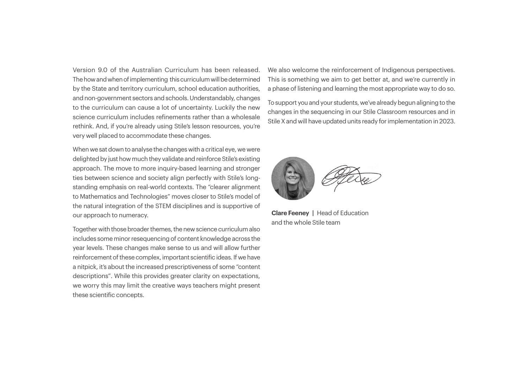Version 9.0 of the Australian Curriculum has been released. The how and when of implementing this curriculum will be determined by the State and territory curriculum, school education authorities, and non-government sectors and schools. Understandably, changes to the curriculum can cause a lot of uncertainty. Luckily the new science curriculum includes refinements rather than a wholesale rethink. And, if you're already using Stile's lesson resources, you're very well placed to accommodate these changes.

When we sat down to analyse the changes with a critical eye, we were delighted by just how much they validate and reinforce Stile's existing approach. The move to more inquiry-based learning and stronger ties between science and society align perfectly with Stile's longstanding emphasis on real-world contexts. The "clearer alignment to Mathematics and Technologies" moves closer to Stile's model of the natural integration of the STEM disciplines and is supportive of our approach to numeracy.

Together with those broader themes, the new science curriculum also includes some minor resequencing of content knowledge across the year levels. These changes make sense to us and will allow further reinforcement of these complex, important scientific ideas. If we have a nitpick, it's about the increased prescriptiveness of some "content descriptions". While this provides greater clarity on expectations, we worry this may limit the creative ways teachers might present these scientific concepts.

We also welcome the reinforcement of Indigenous perspectives. This is something we aim to get better at, and we're currently in a phase of listening and learning the most appropriate way to do so.

To support you and your students, we've already begun aligning to the changes in the sequencing in our Stile Classroom resources and in Stile X and will have updated units ready for implementation in 2023.



**Clare Feeney |** Head of Education and the whole Stile team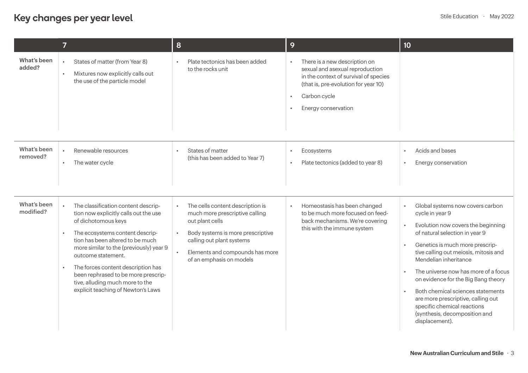## Key changes per year level **Stile Education ·** May 2022

|                          | $\overline{7}$                                                                                                                                                                                                                                                                                                                                                                                                 | 8                                                                                                                                                                                                                                                             | 9                                                                                                                                                                                        | 10 <sup>°</sup>                                                                                                                                                                                                                                                                                                                                                                                                                                                                                        |
|--------------------------|----------------------------------------------------------------------------------------------------------------------------------------------------------------------------------------------------------------------------------------------------------------------------------------------------------------------------------------------------------------------------------------------------------------|---------------------------------------------------------------------------------------------------------------------------------------------------------------------------------------------------------------------------------------------------------------|------------------------------------------------------------------------------------------------------------------------------------------------------------------------------------------|--------------------------------------------------------------------------------------------------------------------------------------------------------------------------------------------------------------------------------------------------------------------------------------------------------------------------------------------------------------------------------------------------------------------------------------------------------------------------------------------------------|
| What's been<br>added?    | States of matter (from Year 8)<br>Mixtures now explicitly calls out<br>the use of the particle model                                                                                                                                                                                                                                                                                                           | Plate tectonics has been added<br>to the rocks unit                                                                                                                                                                                                           | There is a new description on<br>sexual and asexual reproduction<br>in the context of survival of species<br>(that is, pre-evolution for year 10)<br>Carbon cycle<br>Energy conservation |                                                                                                                                                                                                                                                                                                                                                                                                                                                                                                        |
| What's been<br>removed?  | Renewable resources<br>The water cycle<br>$\bullet$                                                                                                                                                                                                                                                                                                                                                            | States of matter<br>(this has been added to Year 7)                                                                                                                                                                                                           | Ecosystems<br>$\bullet$<br>Plate tectonics (added to year 8)                                                                                                                             | Acids and bases<br>Energy conservation                                                                                                                                                                                                                                                                                                                                                                                                                                                                 |
| What's been<br>modified? | The classification content descrip-<br>tion now explicitly calls out the use<br>of dichotomous keys<br>The ecosystems content descrip-<br>tion has been altered to be much<br>more similar to the (previously) year 9<br>outcome statement.<br>The forces content description has<br>$\bullet$<br>been rephrased to be more prescrip-<br>tive, alluding much more to the<br>explicit teaching of Newton's Laws | The cells content description is<br>$\bullet$<br>much more prescriptive calling<br>out plant cells<br>Body systems is more prescriptive<br>$\bullet$<br>calling out plant systems<br>Elements and compounds has more<br>$\bullet$<br>of an emphasis on models | Homeostasis has been changed<br>to be much more focused on feed-<br>back mechanisms. We're covering<br>this with the immune system                                                       | Global systems now covers carbon<br>cycle in year 9<br>Evolution now covers the beginning<br>$\bullet$<br>of natural selection in year 9<br>Genetics is much more prescrip-<br>$\bullet$<br>tive calling out meiosis, mitosis and<br>Mendelian inheritance<br>The universe now has more of a focus<br>on evidence for the Big Bang theory<br>Both chemical sciences statements<br>are more prescriptive, calling out<br>specific chemical reactions<br>(synthesis, decomposition and<br>displacement). |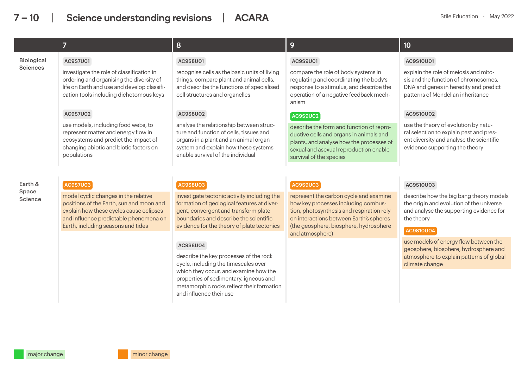| $\overline{7}$    |                                                                                                                                                                                                                                                                                                                                                                                                                                          | 8                                                                                                                                                                                                                                  | 9                                                                                                                                                                                                    | 10                                                                                                                                                            |
|-------------------|------------------------------------------------------------------------------------------------------------------------------------------------------------------------------------------------------------------------------------------------------------------------------------------------------------------------------------------------------------------------------------------------------------------------------------------|------------------------------------------------------------------------------------------------------------------------------------------------------------------------------------------------------------------------------------|------------------------------------------------------------------------------------------------------------------------------------------------------------------------------------------------------|---------------------------------------------------------------------------------------------------------------------------------------------------------------|
| <b>Biological</b> | <b>AC9S7U01</b>                                                                                                                                                                                                                                                                                                                                                                                                                          | AC9S8U01                                                                                                                                                                                                                           | AC9S9U01                                                                                                                                                                                             | AC9S10U01                                                                                                                                                     |
| <b>Sciences</b>   | investigate the role of classification in<br>ordering and organising the diversity of<br>life on Earth and use and develop classifi-<br>cation tools including dichotomous keys                                                                                                                                                                                                                                                          | recognise cells as the basic units of living<br>things, compare plant and animal cells,<br>and describe the functions of specialised<br>cell structures and organelles                                                             | compare the role of body systems in<br>regulating and coordinating the body's<br>response to a stimulus, and describe the<br>operation of a negative feedback mech-<br>anism                         | explain the role of meiosis and mito-<br>sis and the function of chromosomes,<br>DNA and genes in heredity and predict<br>patterns of Mendelian inheritance   |
|                   | <b>AC9S7U02</b>                                                                                                                                                                                                                                                                                                                                                                                                                          | <b>AC9S8U02</b>                                                                                                                                                                                                                    | <b>AC9S9U02</b>                                                                                                                                                                                      | AC9S10U02                                                                                                                                                     |
|                   | use models, including food webs, to<br>represent matter and energy flow in<br>ecosystems and predict the impact of<br>changing abiotic and biotic factors on<br>populations                                                                                                                                                                                                                                                              | analyse the relationship between struc-<br>ture and function of cells, tissues and<br>organs in a plant and an animal organ<br>system and explain how these systems<br>enable survival of the individual                           | describe the form and function of repro-<br>ductive cells and organs in animals and<br>plants, and analyse how the processes of<br>sexual and asexual reproduction enable<br>survival of the species | use the theory of evolution by natu-<br>ral selection to explain past and pres-<br>ent diversity and analyse the scientific<br>evidence supporting the theory |
|                   |                                                                                                                                                                                                                                                                                                                                                                                                                                          |                                                                                                                                                                                                                                    |                                                                                                                                                                                                      |                                                                                                                                                               |
| Earth &<br>Space  | <b>AC9S7U03</b>                                                                                                                                                                                                                                                                                                                                                                                                                          | <b>AC9S8U03</b>                                                                                                                                                                                                                    | <b>AC9S9U03</b>                                                                                                                                                                                      | AC9S10U03                                                                                                                                                     |
| Science           | model cyclic changes in the relative<br>investigate tectonic activity including the<br>positions of the Earth, sun and moon and<br>formation of geological features at diver-<br>explain how these cycles cause eclipses<br>gent, convergent and transform plate<br>boundaries and describe the scientific<br>and influence predictable phenomena on<br>Earth, including seasons and tides<br>evidence for the theory of plate tectonics | represent the carbon cycle and examine<br>how key processes including combus-<br>tion, photosynthesis and respiration rely<br>on interactions between Earth's spheres<br>(the geosphere, biosphere, hydrosphere<br>and atmosphere) | describe how the big bang theory models<br>the origin and evolution of the universe<br>and analyse the supporting evidence for<br>the theory<br><b>AC9S10U04</b>                                     |                                                                                                                                                               |
|                   |                                                                                                                                                                                                                                                                                                                                                                                                                                          | AC9S8U04                                                                                                                                                                                                                           |                                                                                                                                                                                                      | use models of energy flow between the<br>geosphere, biosphere, hydrosphere and                                                                                |
|                   |                                                                                                                                                                                                                                                                                                                                                                                                                                          | describe the key processes of the rock<br>cycle, including the timescales over                                                                                                                                                     |                                                                                                                                                                                                      | atmosphere to explain patterns of global<br>climate change                                                                                                    |
|                   |                                                                                                                                                                                                                                                                                                                                                                                                                                          | which they occur, and examine how the<br>properties of sedimentary, igneous and<br>metamorphic rocks reflect their formation<br>and influence their use                                                                            |                                                                                                                                                                                                      |                                                                                                                                                               |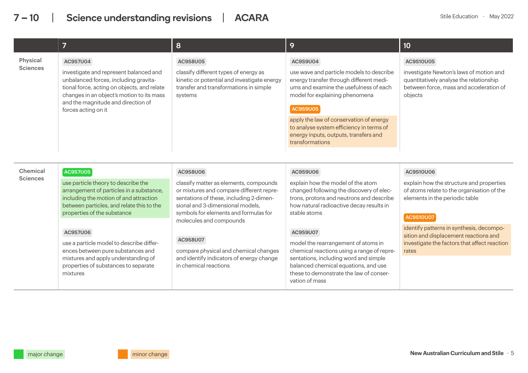|                             | 7                                                                                                                                                                                                                                                                                                                                                                                                                       | 8                                                                                                                                                                                                                                                                                                                                                                                  | 9                                                                                                                                                                                                                                                                                                                                                                                                                                                | 10                                                                                                                                                                                                                                                                                                      |
|-----------------------------|-------------------------------------------------------------------------------------------------------------------------------------------------------------------------------------------------------------------------------------------------------------------------------------------------------------------------------------------------------------------------------------------------------------------------|------------------------------------------------------------------------------------------------------------------------------------------------------------------------------------------------------------------------------------------------------------------------------------------------------------------------------------------------------------------------------------|--------------------------------------------------------------------------------------------------------------------------------------------------------------------------------------------------------------------------------------------------------------------------------------------------------------------------------------------------------------------------------------------------------------------------------------------------|---------------------------------------------------------------------------------------------------------------------------------------------------------------------------------------------------------------------------------------------------------------------------------------------------------|
| Physical<br><b>Sciences</b> | <b>AC9S7U04</b><br>investigate and represent balanced and<br>unbalanced forces, including gravita-<br>tional force, acting on objects, and relate<br>changes in an object's motion to its mass<br>and the magnitude and direction of<br>forces acting on it                                                                                                                                                             | AC9S8U05<br>classify different types of energy as<br>kinetic or potential and investigate energy<br>transfer and transformations in simple<br>systems                                                                                                                                                                                                                              | AC9S9U04<br>use wave and particle models to describe<br>energy transfer through different medi-<br>ums and examine the usefulness of each<br>model for explaining phenomena<br><b>AC9S9U05</b><br>apply the law of conservation of energy<br>to analyse system efficiency in terms of<br>energy inputs, outputs, transfers and<br>transformations                                                                                                | AC9S10U05<br>investigate Newton's laws of motion and<br>quantitatively analyse the relationship<br>between force, mass and acceleration of<br>objects                                                                                                                                                   |
| Chemical<br><b>Sciences</b> | <b>AC9S7U05</b><br>use particle theory to describe the<br>arrangement of particles in a substance,<br>including the motion of and attraction<br>between particles, and relate this to the<br>properties of the substance<br><b>AC9S7U06</b><br>use a particle model to describe differ-<br>ences between pure substances and<br>mixtures and apply understanding of<br>properties of substances to separate<br>mixtures | <b>AC9S8U06</b><br>classify matter as elements, compounds<br>or mixtures and compare different repre-<br>sentations of these, including 2-dimen-<br>sional and 3-dimensional models,<br>symbols for elements and formulas for<br>molecules and compounds<br>AC9S8U07<br>compare physical and chemical changes<br>and identify indicators of energy change<br>in chemical reactions | AC9S9U06<br>explain how the model of the atom<br>changed following the discovery of elec-<br>trons, protons and neutrons and describe<br>how natural radioactive decay results in<br>stable atoms<br>AC9S9U07<br>model the rearrangement of atoms in<br>chemical reactions using a range of repre-<br>sentations, including word and simple<br>balanced chemical equations, and use<br>these to demonstrate the law of conser-<br>vation of mass | AC9S10U06<br>explain how the structure and properties<br>of atoms relate to the organisation of the<br>elements in the periodic table<br><b>AC9S10U07</b><br>identify patterns in synthesis, decompo-<br>sition and displacement reactions and<br>investigate the factors that affect reaction<br>rates |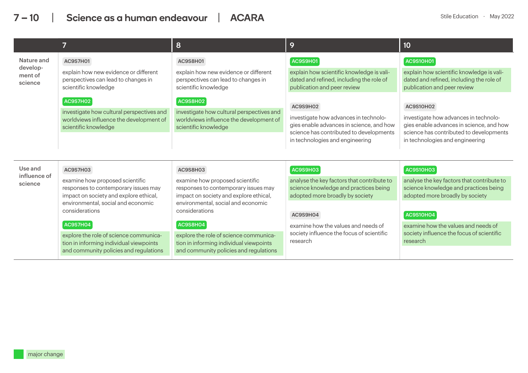|                                |                                                                                                                             | 8                                                                                                                           | 9                                                                                                                                                               | 10                                                                                                                                                              |  |
|--------------------------------|-----------------------------------------------------------------------------------------------------------------------------|-----------------------------------------------------------------------------------------------------------------------------|-----------------------------------------------------------------------------------------------------------------------------------------------------------------|-----------------------------------------------------------------------------------------------------------------------------------------------------------------|--|
| Nature and                     | AC9S7H01                                                                                                                    | AC9S8H01                                                                                                                    | AC9S9H01                                                                                                                                                        | <b>AC9S10H01</b>                                                                                                                                                |  |
| develop-<br>ment of<br>science | explain how new evidence or different<br>perspectives can lead to changes in<br>scientific knowledge                        | explain how new evidence or different<br>perspectives can lead to changes in<br>scientific knowledge                        | explain how scientific knowledge is vali-<br>dated and refined, including the role of<br>publication and peer review                                            | explain how scientific knowledge is vali-<br>dated and refined, including the role of<br>publication and peer review                                            |  |
|                                | AC9S7H02                                                                                                                    | AC9S8H02                                                                                                                    | AC9S9H02                                                                                                                                                        | <b>AC9S10H02</b>                                                                                                                                                |  |
|                                | investigate how cultural perspectives and<br>worldviews influence the development of<br>scientific knowledge                | investigate how cultural perspectives and<br>worldviews influence the development of<br>scientific knowledge                | investigate how advances in technolo-<br>gies enable advances in science, and how<br>science has contributed to developments<br>in technologies and engineering | investigate how advances in technolo-<br>gies enable advances in science, and how<br>science has contributed to developments<br>in technologies and engineering |  |
|                                |                                                                                                                             |                                                                                                                             |                                                                                                                                                                 |                                                                                                                                                                 |  |
| Use and<br>influence of        | AC9S7H03                                                                                                                    | AC9S8H03                                                                                                                    | AC9S9H03                                                                                                                                                        | <b>AC9S10H03</b>                                                                                                                                                |  |
| science                        | examine how proposed scientific<br>responses to contemporary issues may<br>impact on society and explore ethical,           | examine how proposed scientific<br>responses to contemporary issues may<br>impact on society and explore ethical,           | analyse the key factors that contribute to<br>science knowledge and practices being<br>adopted more broadly by society                                          | analyse the key factors that contribute to<br>science knowledge and practices being<br>adopted more broadly by society                                          |  |
|                                | environmental, social and economic<br>environmental, social and economic<br>considerations<br>considerations                |                                                                                                                             | AC9S9H04                                                                                                                                                        | <b>AC9S10H04</b>                                                                                                                                                |  |
|                                | AC9S7H04                                                                                                                    | <b>AC9S8H04</b>                                                                                                             | examine how the values and needs of                                                                                                                             | examine how the values and needs of                                                                                                                             |  |
|                                | explore the role of science communica-<br>tion in informing individual viewpoints<br>and community policies and regulations | explore the role of science communica-<br>tion in informing individual viewpoints<br>and community policies and regulations | society influence the focus of scientific<br>research                                                                                                           | society influence the focus of scientific<br>research                                                                                                           |  |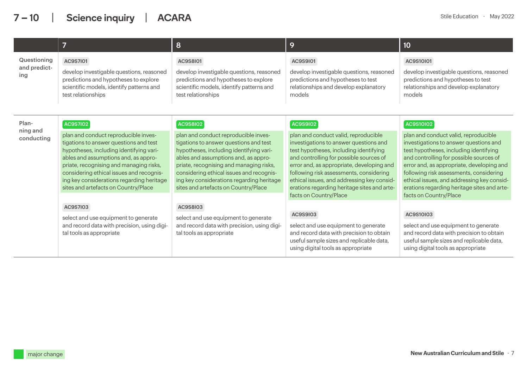|                                    | 8<br>7                                                                                                                                                                                                                                                                                                                                                           |                                                                                                                                                                                                                                                                                                                                                                  | 9                                                                                                                                                                                                                                                                                                                                                                                                     | 10                                                                                                                                                                                                                                                                                                                                                                                                     |
|------------------------------------|------------------------------------------------------------------------------------------------------------------------------------------------------------------------------------------------------------------------------------------------------------------------------------------------------------------------------------------------------------------|------------------------------------------------------------------------------------------------------------------------------------------------------------------------------------------------------------------------------------------------------------------------------------------------------------------------------------------------------------------|-------------------------------------------------------------------------------------------------------------------------------------------------------------------------------------------------------------------------------------------------------------------------------------------------------------------------------------------------------------------------------------------------------|--------------------------------------------------------------------------------------------------------------------------------------------------------------------------------------------------------------------------------------------------------------------------------------------------------------------------------------------------------------------------------------------------------|
| Questioning<br>and predict-<br>ing | <b>AC9S7I01</b><br>develop investigable questions, reasoned<br>predictions and hypotheses to explore<br>scientific models, identify patterns and<br>test relationships                                                                                                                                                                                           | AC9S8101<br>develop investigable questions, reasoned<br>predictions and hypotheses to explore<br>scientific models, identify patterns and<br>test relationships                                                                                                                                                                                                  | AC9S9101<br>develop investigable questions, reasoned<br>predictions and hypotheses to test<br>relationships and develop explanatory<br>models                                                                                                                                                                                                                                                         | AC9S10I01<br>develop investigable questions, reasoned<br>predictions and hypotheses to test<br>relationships and develop explanatory<br>models                                                                                                                                                                                                                                                         |
| Plan-<br>ning and<br>conducting    | <b>AC9S7I02</b><br>plan and conduct reproducible inves-<br>tigations to answer questions and test<br>hypotheses, including identifying vari-<br>ables and assumptions and, as appro-<br>priate, recognising and managing risks,<br>considering ethical issues and recognis-<br>ing key considerations regarding heritage<br>sites and artefacts on Country/Place | <b>AC9S8I02</b><br>plan and conduct reproducible inves-<br>tigations to answer questions and test<br>hypotheses, including identifying vari-<br>ables and assumptions and, as appro-<br>priate, recognising and managing risks,<br>considering ethical issues and recognis-<br>ing key considerations regarding heritage<br>sites and artefacts on Country/Place | <b>AC9S9I02</b><br>plan and conduct valid, reproducible<br>investigations to answer questions and<br>test hypotheses, including identifying<br>and controlling for possible sources of<br>error and, as appropriate, developing and<br>following risk assessments, considering<br>ethical issues, and addressing key consid-<br>erations regarding heritage sites and arte-<br>facts on Country/Place | <b>AC9S10I02</b><br>plan and conduct valid, reproducible<br>investigations to answer questions and<br>test hypotheses, including identifying<br>and controlling for possible sources of<br>error and, as appropriate, developing and<br>following risk assessments, considering<br>ethical issues, and addressing key consid-<br>erations regarding heritage sites and arte-<br>facts on Country/Place |
|                                    | AC9S7I03<br>select and use equipment to generate<br>and record data with precision, using digi-<br>tal tools as appropriate                                                                                                                                                                                                                                      | AC9S8I03<br>select and use equipment to generate<br>and record data with precision, using digi-<br>tal tools as appropriate                                                                                                                                                                                                                                      | AC9S9I03<br>select and use equipment to generate<br>and record data with precision to obtain<br>useful sample sizes and replicable data,<br>using digital tools as appropriate                                                                                                                                                                                                                        | AC9S10I03<br>select and use equipment to generate<br>and record data with precision to obtain<br>useful sample sizes and replicable data,<br>using digital tools as appropriate                                                                                                                                                                                                                        |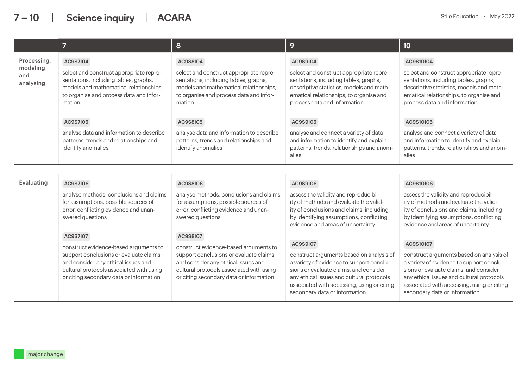|                              | 7                                                                                                                                                                                                                                                                                                                                                                                                                              | 8                                                                                                                                                                               | 9                                                                                                                                                                                                                                                          | 10                                                                                                                                                                                                                                                         |  |
|------------------------------|--------------------------------------------------------------------------------------------------------------------------------------------------------------------------------------------------------------------------------------------------------------------------------------------------------------------------------------------------------------------------------------------------------------------------------|---------------------------------------------------------------------------------------------------------------------------------------------------------------------------------|------------------------------------------------------------------------------------------------------------------------------------------------------------------------------------------------------------------------------------------------------------|------------------------------------------------------------------------------------------------------------------------------------------------------------------------------------------------------------------------------------------------------------|--|
| Processing,                  | <b>AC9S7I04</b>                                                                                                                                                                                                                                                                                                                                                                                                                | <b>AC9S8I04</b>                                                                                                                                                                 | AC9S9I04                                                                                                                                                                                                                                                   | AC9S10I04                                                                                                                                                                                                                                                  |  |
| modeling<br>and<br>analysing | select and construct appropriate repre-<br>sentations, including tables, graphs,<br>models and mathematical relationships,<br>to organise and process data and infor-<br>mation                                                                                                                                                                                                                                                | select and construct appropriate repre-<br>sentations, including tables, graphs,<br>models and mathematical relationships,<br>to organise and process data and infor-<br>mation | select and construct appropriate repre-<br>sentations, including tables, graphs,<br>descriptive statistics, models and math-<br>ematical relationships, to organise and<br>process data and information                                                    | select and construct appropriate repre-<br>sentations, including tables, graphs,<br>descriptive statistics, models and math-<br>ematical relationships, to organise and<br>process data and information                                                    |  |
|                              | <b>AC9S7I05</b>                                                                                                                                                                                                                                                                                                                                                                                                                | <b>AC9S8I05</b>                                                                                                                                                                 | AC9S9I05                                                                                                                                                                                                                                                   | AC9S10I05                                                                                                                                                                                                                                                  |  |
|                              | analyse data and information to describe<br>patterns, trends and relationships and<br>identify anomalies                                                                                                                                                                                                                                                                                                                       | analyse data and information to describe<br>patterns, trends and relationships and<br>identify anomalies                                                                        | analyse and connect a variety of data<br>and information to identify and explain<br>patterns, trends, relationships and anom-<br>alies                                                                                                                     | analyse and connect a variety of data<br>and information to identify and explain<br>patterns, trends, relationships and anom-<br>alies                                                                                                                     |  |
|                              |                                                                                                                                                                                                                                                                                                                                                                                                                                |                                                                                                                                                                                 |                                                                                                                                                                                                                                                            |                                                                                                                                                                                                                                                            |  |
| Evaluating                   | <b>AC9S7I06</b>                                                                                                                                                                                                                                                                                                                                                                                                                | <b>AC9S8I06</b>                                                                                                                                                                 | AC9S9I06                                                                                                                                                                                                                                                   | AC9S10I06                                                                                                                                                                                                                                                  |  |
|                              | analyse methods, conclusions and claims<br>for assumptions, possible sources of<br>error, conflicting evidence and unan-<br>swered questions                                                                                                                                                                                                                                                                                   | analyse methods, conclusions and claims<br>for assumptions, possible sources of<br>error, conflicting evidence and unan-<br>swered questions                                    | assess the validity and reproducibil-<br>ity of methods and evaluate the valid-<br>ity of conclusions and claims, including<br>by identifying assumptions, conflicting<br>evidence and areas of uncertainty                                                | assess the validity and reproducibil-<br>ity of methods and evaluate the valid-<br>ity of conclusions and claims, including<br>by identifying assumptions, conflicting<br>evidence and areas of uncertainty                                                |  |
|                              | AC9S7107                                                                                                                                                                                                                                                                                                                                                                                                                       | <b>AC9S8I07</b>                                                                                                                                                                 | AC9S9107                                                                                                                                                                                                                                                   | AC9S10107                                                                                                                                                                                                                                                  |  |
|                              | construct evidence-based arguments to<br>construct evidence-based arguments to<br>support conclusions or evaluate claims<br>support conclusions or evaluate claims<br>and consider any ethical issues and<br>and consider any ethical issues and<br>cultural protocols associated with using<br>cultural protocols associated with using<br>or citing secondary data or information<br>or citing secondary data or information |                                                                                                                                                                                 | construct arguments based on analysis of<br>a variety of evidence to support conclu-<br>sions or evaluate claims, and consider<br>any ethical issues and cultural protocols<br>associated with accessing, using or citing<br>secondary data or information | construct arguments based on analysis of<br>a variety of evidence to support conclu-<br>sions or evaluate claims, and consider<br>any ethical issues and cultural protocols<br>associated with accessing, using or citing<br>secondary data or information |  |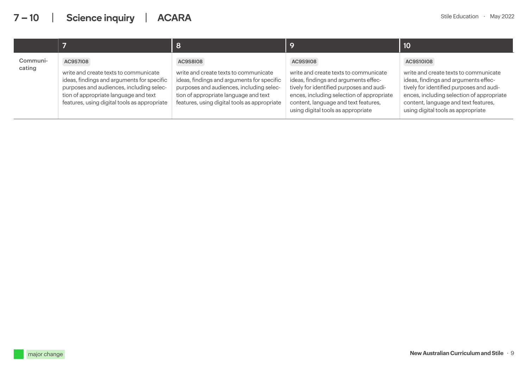|                    |                                                                                                                                                                                                                                             | 8                                                                                                                                                                                                                                           |                                                                                                                                                                                                                                                                         | 10                                                                                                                                                                                                                                                                |
|--------------------|---------------------------------------------------------------------------------------------------------------------------------------------------------------------------------------------------------------------------------------------|---------------------------------------------------------------------------------------------------------------------------------------------------------------------------------------------------------------------------------------------|-------------------------------------------------------------------------------------------------------------------------------------------------------------------------------------------------------------------------------------------------------------------------|-------------------------------------------------------------------------------------------------------------------------------------------------------------------------------------------------------------------------------------------------------------------|
| Communi-<br>cating | <b>AC9S7I08</b><br>write and create texts to communicate<br>ideas, findings and arguments for specific<br>purposes and audiences, including selec-<br>tion of appropriate language and text<br>features, using digital tools as appropriate | <b>AC9S8I08</b><br>write and create texts to communicate<br>ideas, findings and arguments for specific<br>purposes and audiences, including selec-<br>tion of appropriate language and text<br>features, using digital tools as appropriate | <b>AC9S9I08</b><br>write and create texts to communicate<br>ideas, findings and arguments effec-<br>tively for identified purposes and audi-<br>ences, including selection of appropriate<br>content, language and text features,<br>using digital tools as appropriate | AC9S10I08<br>write and create texts to communicate<br>ideas, findings and arguments effec-<br>tively for identified purposes and audi-<br>ences, including selection of appropriate<br>content, language and text features,<br>using digital tools as appropriate |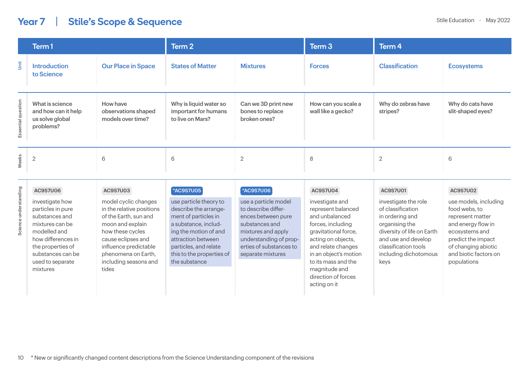## Year 7 | Stile's Scope & Sequence

|                    | Term 1                                                                 |                                                      | Term 2                                                             |                                                         | Term 3                                    | Term 4                         |                                       |
|--------------------|------------------------------------------------------------------------|------------------------------------------------------|--------------------------------------------------------------------|---------------------------------------------------------|-------------------------------------------|--------------------------------|---------------------------------------|
| Unit               | <b>Introduction</b><br>to Science                                      | <b>Our Place in Space</b>                            | <b>States of Matter</b>                                            | <b>Mixtures</b>                                         | <b>Forces</b>                             | <b>Classification</b>          | <b>Ecosystems</b>                     |
| Essential question | What is science<br>and how can it help<br>us solve global<br>problems? | How have<br>observations shaped<br>models over time? | Why is liquid water so<br>important for humans<br>to live on Mars? | Can we 3D print new<br>bones to replace<br>broken ones? | How can you scale a<br>wall like a gecko? | Why do zebras have<br>stripes? | Why do cats have<br>slit-shaped eyes? |
| Weeks              | $\overline{2}$                                                         | 6                                                    | 6                                                                  | $\overline{2}$                                          | 8                                         | $\overline{2}$                 | 6                                     |

|                               | <b>AC9S7U06</b>                                                                                                                                                                           | AC9S7U03                                                                                                                                                                                                                   | <b>*AC9S7U05</b>                                                                                                                                                                                                      | <b>*AC9S7U06</b>                                                                                                                                                                    | <b>AC9S7U04</b>                                                                                                                                                                                                                                          | AC9S7U01                                                                                                                                                                                     | <b>AC9S7U02</b>                                                                                                                                                                         |
|-------------------------------|-------------------------------------------------------------------------------------------------------------------------------------------------------------------------------------------|----------------------------------------------------------------------------------------------------------------------------------------------------------------------------------------------------------------------------|-----------------------------------------------------------------------------------------------------------------------------------------------------------------------------------------------------------------------|-------------------------------------------------------------------------------------------------------------------------------------------------------------------------------------|----------------------------------------------------------------------------------------------------------------------------------------------------------------------------------------------------------------------------------------------------------|----------------------------------------------------------------------------------------------------------------------------------------------------------------------------------------------|-----------------------------------------------------------------------------------------------------------------------------------------------------------------------------------------|
| understanding<br>Φ<br>Science | investigate how<br>particles in pure<br>substances and<br>mixtures can be<br>modelled and<br>how differences in<br>the properties of<br>substances can be<br>used to separate<br>mixtures | model cyclic changes<br>in the relative positions<br>of the Earth, sun and<br>moon and explain<br>how these cycles<br>cause eclipses and<br>influence predictable<br>phenomena on Earth.<br>including seasons and<br>tides | use particle theory to<br>describe the arrange-<br>ment of particles in<br>a substance, includ-<br>ing the motion of and<br>attraction between<br>particles, and relate<br>this to the properties of<br>the substance | use a particle model<br>to describe differ-<br>ences between pure<br>substances and<br>mixtures and apply<br>understanding of prop-<br>erties of substances to<br>separate mixtures | investigate and<br>represent balanced<br>and unbalanced<br>forces, including<br>gravitational force,<br>acting on objects,<br>and relate changes<br>in an object's motion<br>to its mass and the<br>magnitude and<br>direction of forces<br>acting on it | investigate the role<br>of classification<br>in ordering and<br>organising the<br>diversity of life on Earth<br>and use and develop<br>classification tools<br>including dichotomous<br>keys | use models, including<br>food webs, to<br>represent matter<br>and energy flow in<br>ecosystems and<br>predict the impact<br>of changing abiotic<br>and biotic factors on<br>populations |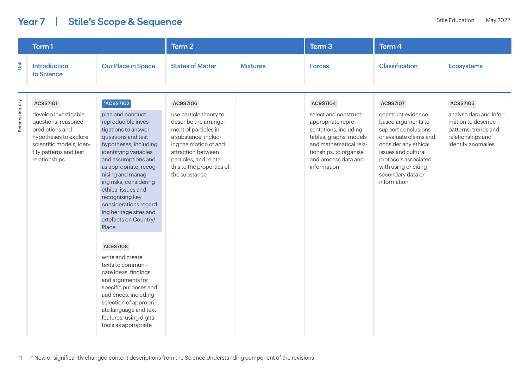## Year 7 | Stile's Scope & Sequence

|                 | Term 1                                                                                                                                                                            |                                                                                                                                                                                                                                                                                                                                                                                                                                                                                                                                                                                                                                                     | Term 2                                                                                                                                                                                                                                   |                 | Term <sub>3</sub>                                                                                                                                                                                    | Term 4                                                                                                                                                                                                                                           |                                                                                                                                     |  |
|-----------------|-----------------------------------------------------------------------------------------------------------------------------------------------------------------------------------|-----------------------------------------------------------------------------------------------------------------------------------------------------------------------------------------------------------------------------------------------------------------------------------------------------------------------------------------------------------------------------------------------------------------------------------------------------------------------------------------------------------------------------------------------------------------------------------------------------------------------------------------------------|------------------------------------------------------------------------------------------------------------------------------------------------------------------------------------------------------------------------------------------|-----------------|------------------------------------------------------------------------------------------------------------------------------------------------------------------------------------------------------|--------------------------------------------------------------------------------------------------------------------------------------------------------------------------------------------------------------------------------------------------|-------------------------------------------------------------------------------------------------------------------------------------|--|
| İ               | <b>Introduction</b><br>to Science                                                                                                                                                 | <b>Our Place in Space</b>                                                                                                                                                                                                                                                                                                                                                                                                                                                                                                                                                                                                                           | <b>States of Matter</b>                                                                                                                                                                                                                  | <b>Mixtures</b> | <b>Forces</b>                                                                                                                                                                                        | <b>Classification</b>                                                                                                                                                                                                                            | <b>Ecosystems</b>                                                                                                                   |  |
| Science inquiry | <b>AC9S7I01</b><br>develop investigable<br>questions, reasoned<br>predictions and<br>hypotheses to explore<br>scientific models, iden-<br>tify patterns and test<br>relationships | *AC9S7I02<br>plan and conduct<br>reproducible inves-<br>tigations to answer<br>questions and test<br>hypotheses, including<br>identifying variables<br>and assumptions and,<br>as appropriate, recog-<br>nising and manag-<br>ing risks, considering<br>ethical issues and<br>recognising key<br>considerations regard-<br>ing heritage sites and<br>artefacts on Country/<br>Place<br><b>AC9S7I08</b><br>write and create<br>texts to communi-<br>cate ideas, findings<br>and arguments for<br>specific purposes and<br>audiences, including<br>selection of appropri-<br>ate language and text<br>features, using digital<br>tools as appropriate | <b>AC9S7I06</b><br>use particle theory to<br>describe the arrange-<br>ment of particles in<br>a substance, includ-<br>ing the motion of and<br>attraction between<br>particles, and relate<br>this to the properties of<br>the substance |                 | AC9S7I04<br>select and construct<br>appropriate repre-<br>sentations, including<br>tables, graphs, models<br>and mathematical rela-<br>tionships, to organise<br>and process data and<br>information | <b>AC9S7I07</b><br>construct evidence-<br>based arguments to<br>support conclusions<br>or evaluate claims and<br>consider any ethical<br>issues and cultural<br>protocols associated<br>with using or citing<br>secondary data or<br>information | <b>AC9S7I05</b><br>analyse data and infor-<br>mation to describe<br>patterns, trends and<br>relationships and<br>identify anomalies |  |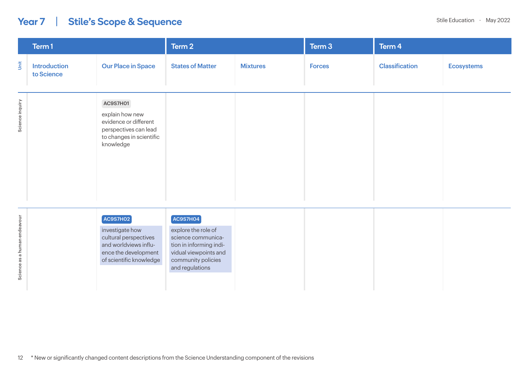## Year 7 | Stile's Scope & Sequence

|                              | Term 1                            |                                                                                                                                     | Term 2                                                                                                                                                |                 | Term 3        | Term 4                |                   |
|------------------------------|-----------------------------------|-------------------------------------------------------------------------------------------------------------------------------------|-------------------------------------------------------------------------------------------------------------------------------------------------------|-----------------|---------------|-----------------------|-------------------|
| Unit                         | <b>Introduction</b><br>to Science | <b>Our Place in Space</b>                                                                                                           | <b>States of Matter</b>                                                                                                                               | <b>Mixtures</b> | <b>Forces</b> | <b>Classification</b> | <b>Ecosystems</b> |
| Science inquiry              |                                   | <b>AC9S7H01</b><br>explain how new<br>evidence or different<br>perspectives can lead<br>to changes in scientific<br>knowledge       |                                                                                                                                                       |                 |               |                       |                   |
| Science as a human endeavour |                                   | $AC9$ S7HO2<br>investigate how<br>cultural perspectives<br>and worldviews influ-<br>ence the development<br>of scientific knowledge | $AC9$ S7HO4<br>explore the role of<br>science communica-<br>tion in informing indi-<br>vidual viewpoints and<br>community policies<br>and regulations |                 |               |                       |                   |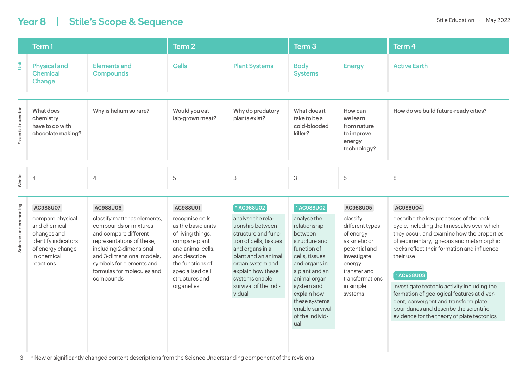## Year 8 | Stile's Scope & Sequence Stile Education • May 2022

|                       | Term 1                                                                                                                             |                                                                                                                                                                                                                                                        | Term <sub>2</sub>                                                                                                                                                                                    |                                                                                                                                                                                                                                              | Term <sub>3</sub>                                                                                                                                                                                                                                    |                                                                                                                                                                            | Term <sub>4</sub>                                                                                                                                                                                                                                                                                                                                                                                                                                                                                       |
|-----------------------|------------------------------------------------------------------------------------------------------------------------------------|--------------------------------------------------------------------------------------------------------------------------------------------------------------------------------------------------------------------------------------------------------|------------------------------------------------------------------------------------------------------------------------------------------------------------------------------------------------------|----------------------------------------------------------------------------------------------------------------------------------------------------------------------------------------------------------------------------------------------|------------------------------------------------------------------------------------------------------------------------------------------------------------------------------------------------------------------------------------------------------|----------------------------------------------------------------------------------------------------------------------------------------------------------------------------|---------------------------------------------------------------------------------------------------------------------------------------------------------------------------------------------------------------------------------------------------------------------------------------------------------------------------------------------------------------------------------------------------------------------------------------------------------------------------------------------------------|
| Š                     | <b>Physical and</b><br><b>Chemical</b><br>Change                                                                                   | <b>Elements and</b><br><b>Compounds</b>                                                                                                                                                                                                                | <b>Cells</b>                                                                                                                                                                                         | <b>Plant Systems</b>                                                                                                                                                                                                                         | <b>Body</b><br><b>Systems</b>                                                                                                                                                                                                                        | <b>Energy</b>                                                                                                                                                              | <b>Active Earth</b>                                                                                                                                                                                                                                                                                                                                                                                                                                                                                     |
| Essential question    | What does<br>chemistry<br>have to do with<br>chocolate making?                                                                     | Why is helium so rare?                                                                                                                                                                                                                                 | Would you eat<br>lab-grown meat?                                                                                                                                                                     | Why do predatory<br>plants exist?                                                                                                                                                                                                            | What does it<br>take to be a<br>cold-blooded<br>killer?                                                                                                                                                                                              | How can<br>we learn<br>from nature<br>to improve<br>energy<br>technology?                                                                                                  | How do we build future-ready cities?                                                                                                                                                                                                                                                                                                                                                                                                                                                                    |
| Weeks                 | $\overline{4}$                                                                                                                     | 4                                                                                                                                                                                                                                                      | 5                                                                                                                                                                                                    | 3                                                                                                                                                                                                                                            | 3                                                                                                                                                                                                                                                    | 5                                                                                                                                                                          | 8                                                                                                                                                                                                                                                                                                                                                                                                                                                                                                       |
| Science understanding | AC9S8U07<br>compare physical<br>and chemical<br>changes and<br>identify indicators<br>of energy change<br>in chemical<br>reactions | AC9S8U06<br>classify matter as elements,<br>compounds or mixtures<br>and compare different<br>representations of these,<br>including 2-dimensional<br>and 3-dimensional models.<br>symbols for elements and<br>formulas for molecules and<br>compounds | AC9S8U01<br>recognise cells<br>as the basic units<br>of living things,<br>compare plant<br>and animal cells,<br>and describe<br>the functions of<br>specialised cell<br>structures and<br>organelles | * AC9S8U02<br>analyse the rela-<br>tionship between<br>structure and func-<br>tion of cells, tissues<br>and organs in a<br>plant and an animal<br>organ system and<br>explain how these<br>systems enable<br>survival of the indi-<br>vidual | * AC9S8U02<br>analyse the<br>relationship<br>between<br>structure and<br>function of<br>cells, tissues<br>and organs in<br>a plant and an<br>animal organ<br>system and<br>explain how<br>these systems<br>enable survival<br>of the individ-<br>ual | AC9S8U05<br>classify<br>different types<br>of energy<br>as kinetic or<br>potential and<br>investigate<br>energy<br>transfer and<br>transformations<br>in simple<br>systems | <b>AC9S8U04</b><br>describe the key processes of the rock<br>cycle, including the timescales over which<br>they occur, and examine how the properties<br>of sedimentary, igneous and metamorphic<br>rocks reflect their formation and influence<br>their use<br>* AC9S8U03<br>investigate tectonic activity including the<br>formation of geological features at diver-<br>gent, convergent and transform plate<br>boundaries and describe the scientific<br>evidence for the theory of plate tectonics |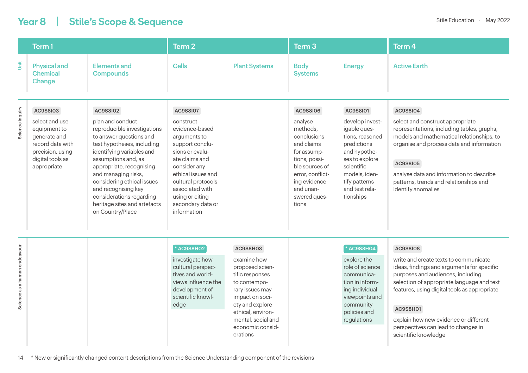## Year 8 | Stile's Scope & Sequence Stile Education • May 2022

|                              | Term <sub>1</sub>                                                                                                                     |                                                                                                                                                                                                                                                                                                                                                                  | Term <sub>2</sub>                                                                                                                                                                                                                                            |                                                                                                                                                                                                                   | Term <sub>3</sub>                                                                                                                                                                        |                                                                                                                                                                                                | Term <sub>4</sub>                                                                                                                                                                                                                                                                                                                                                    |  |
|------------------------------|---------------------------------------------------------------------------------------------------------------------------------------|------------------------------------------------------------------------------------------------------------------------------------------------------------------------------------------------------------------------------------------------------------------------------------------------------------------------------------------------------------------|--------------------------------------------------------------------------------------------------------------------------------------------------------------------------------------------------------------------------------------------------------------|-------------------------------------------------------------------------------------------------------------------------------------------------------------------------------------------------------------------|------------------------------------------------------------------------------------------------------------------------------------------------------------------------------------------|------------------------------------------------------------------------------------------------------------------------------------------------------------------------------------------------|----------------------------------------------------------------------------------------------------------------------------------------------------------------------------------------------------------------------------------------------------------------------------------------------------------------------------------------------------------------------|--|
| Ŝ                            | <b>Physical and</b><br><b>Chemical</b><br>Change                                                                                      | <b>Elements and</b><br><b>Compounds</b>                                                                                                                                                                                                                                                                                                                          | <b>Cells</b>                                                                                                                                                                                                                                                 | <b>Plant Systems</b>                                                                                                                                                                                              | <b>Body</b><br><b>Systems</b>                                                                                                                                                            | <b>Energy</b>                                                                                                                                                                                  | <b>Active Earth</b>                                                                                                                                                                                                                                                                                                                                                  |  |
| Science inquiry              | AC9S8I03<br>select and use<br>equipment to<br>generate and<br>record data with<br>precision, using<br>digital tools as<br>appropriate | AC9S8I02<br>plan and conduct<br>reproducible investigations<br>to answer questions and<br>test hypotheses, including<br>identifying variables and<br>assumptions and, as<br>appropriate, recognising<br>and managing risks,<br>considering ethical issues<br>and recognising key<br>considerations regarding<br>heritage sites and artefacts<br>on Country/Place | <b>AC9S8I07</b><br>construct<br>evidence-based<br>arguments to<br>support conclu-<br>sions or evalu-<br>ate claims and<br>consider any<br>ethical issues and<br>cultural protocols<br>associated with<br>using or citing<br>secondary data or<br>information |                                                                                                                                                                                                                   | AC9S8I06<br>analyse<br>methods.<br>conclusions<br>and claims<br>for assump-<br>tions, possi-<br>ble sources of<br>error, conflict-<br>ing evidence<br>and unan-<br>swered ques-<br>tions | AC9S8101<br>develop invest-<br>igable ques-<br>tions, reasoned<br>predictions<br>and hypothe-<br>ses to explore<br>scientific<br>models, iden-<br>tify patterns<br>and test rela-<br>tionships | AC9S8I04<br>select and construct appropriate<br>representations, including tables, graphs,<br>models and mathematical relationships, to<br>organise and process data and information<br><b>AC9S8I05</b><br>analyse data and information to describe<br>patterns, trends and relationships and<br>identify anomalies                                                  |  |
| Science as a human endeavour |                                                                                                                                       |                                                                                                                                                                                                                                                                                                                                                                  | * AC9S8H02<br>investigate how<br>cultural perspec-<br>tives and world-<br>views influence the<br>development of<br>scientific knowl-<br>edge                                                                                                                 | AC9S8H03<br>examine how<br>proposed scien-<br>tific responses<br>to contempo-<br>rary issues may<br>impact on soci-<br>ety and explore<br>ethical, environ-<br>mental, social and<br>economic consid-<br>erations |                                                                                                                                                                                          | * AC9S8H04<br>explore the<br>role of science<br>communica-<br>tion in inform-<br>ing individual<br>viewpoints and<br>community<br>policies and<br>regulations                                  | <b>AC9S8I08</b><br>write and create texts to communicate<br>ideas, findings and arguments for specific<br>purposes and audiences, including<br>selection of appropriate language and text<br>features, using digital tools as appropriate<br><b>AC9S8H01</b><br>explain how new evidence or different<br>perspectives can lead to changes in<br>scientific knowledge |  |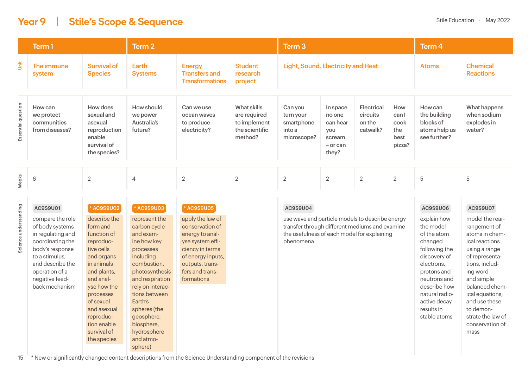## Year 9 | Stile's Scope & Sequence Stile Education • May 2022

|                    | Term 1                                                 |                                                                                            | Term 2                                           |                                                                 |                                                                          | Term 3                                                      |                                                                        |                                                     |                                              | Term 4                                                                |                                                      |
|--------------------|--------------------------------------------------------|--------------------------------------------------------------------------------------------|--------------------------------------------------|-----------------------------------------------------------------|--------------------------------------------------------------------------|-------------------------------------------------------------|------------------------------------------------------------------------|-----------------------------------------------------|----------------------------------------------|-----------------------------------------------------------------------|------------------------------------------------------|
| jāt                | The immune<br>system                                   | <b>Survival of</b><br><b>Species</b>                                                       | Earth<br><b>Systems</b>                          | <b>Energy</b><br><b>Transfers and</b><br><b>Transformations</b> | <b>Student</b><br>research<br>project                                    |                                                             | <b>Light, Sound, Electricity and Heat</b>                              |                                                     | <b>Atoms</b>                                 | <b>Chemical</b><br><b>Reactions</b>                                   |                                                      |
| Essential question | How can<br>we protect<br>communities<br>from diseases? | How does<br>sexual and<br>asexual<br>reproduction<br>enable<br>survival of<br>the species? | How should<br>we power<br>Australia's<br>future? | Can we use<br>ocean waves<br>to produce<br>electricity?         | What skills<br>are required<br>to implement<br>the scientific<br>method? | Can you<br>turn your<br>smartphone<br>into a<br>microscope? | In space<br>no one<br>can hear<br>you<br>scream<br>$-$ or can<br>they? | <b>Electrical</b><br>circuits<br>on the<br>catwalk? | How<br>canl<br>cook<br>the<br>best<br>pizza? | How can<br>the building<br>blocks of<br>atoms help us<br>see further? | What happens<br>when sodium<br>explodes in<br>water? |
| Weeks              | 6                                                      | 2                                                                                          | $\overline{4}$                                   | $\overline{2}$                                                  | $\overline{2}$                                                           | $\overline{2}$                                              | $\overline{2}$                                                         | $\overline{2}$                                      | 2                                            | 5                                                                     | 5                                                    |

| AC9S9U01                                                                                                                                                                                                                                                                                                                                                                                                                                    |
|---------------------------------------------------------------------------------------------------------------------------------------------------------------------------------------------------------------------------------------------------------------------------------------------------------------------------------------------------------------------------------------------------------------------------------------------|
| describe the<br>compare the role<br>of body systems<br>form and<br>function of<br>in regulating and<br>reproduc-<br>coordinating the<br>body's response<br>tive cells<br>and organs<br>to a stimulus,<br>and describe the<br>in animals<br>and plants,<br>operation of a<br>negative feed-<br>and anal-<br>back mechanism<br>yse how the<br>processes<br>of sexual<br>and asexual<br>reproduc-<br>tion enable<br>survival of<br>the species |

15 \* New or significantly changed content descriptions from the Science Understanding component of the revisions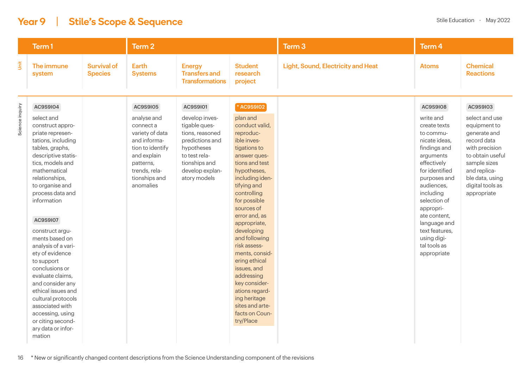#### Year 9 | Stile's Scope & Sequence State of Contract Assemblance Stile Education • May 2022

|                 | Term 1                                                                                                                                                                                                                                                                                                                                                                                                                                                                                                                                                       |                                      | Term <sub>2</sub>                                                                                                                                                      |                                                                                                                                                                      |                                                                                                                                                                                                                                                                                                                                                                                                                                                                           | Term <sub>3</sub>                         | Term <sub>4</sub>                                                                                                                                                                                                                                                                                                |                                                                                                                                                                                                       |  |  |
|-----------------|--------------------------------------------------------------------------------------------------------------------------------------------------------------------------------------------------------------------------------------------------------------------------------------------------------------------------------------------------------------------------------------------------------------------------------------------------------------------------------------------------------------------------------------------------------------|--------------------------------------|------------------------------------------------------------------------------------------------------------------------------------------------------------------------|----------------------------------------------------------------------------------------------------------------------------------------------------------------------|---------------------------------------------------------------------------------------------------------------------------------------------------------------------------------------------------------------------------------------------------------------------------------------------------------------------------------------------------------------------------------------------------------------------------------------------------------------------------|-------------------------------------------|------------------------------------------------------------------------------------------------------------------------------------------------------------------------------------------------------------------------------------------------------------------------------------------------------------------|-------------------------------------------------------------------------------------------------------------------------------------------------------------------------------------------------------|--|--|
| jnit            | The immune<br>system                                                                                                                                                                                                                                                                                                                                                                                                                                                                                                                                         | <b>Survival of</b><br><b>Species</b> | <b>Earth</b><br><b>Systems</b>                                                                                                                                         | <b>Energy</b><br><b>Transfers and</b><br><b>Transformations</b>                                                                                                      | <b>Student</b><br>research<br>project                                                                                                                                                                                                                                                                                                                                                                                                                                     | <b>Light, Sound, Electricity and Heat</b> | <b>Atoms</b>                                                                                                                                                                                                                                                                                                     | <b>Chemical</b><br><b>Reactions</b>                                                                                                                                                                   |  |  |
| Science inquiry | AC9S9I04<br>select and<br>construct appro-<br>priate represen-<br>tations, including<br>tables, graphs,<br>descriptive statis-<br>tics, models and<br>mathematical<br>relationships,<br>to organise and<br>process data and<br>information<br><b>AC9S9I07</b><br>construct argu-<br>ments based on<br>analysis of a vari-<br>ety of evidence<br>to support<br>conclusions or<br>evaluate claims,<br>and consider any<br>ethical issues and<br>cultural protocols<br>associated with<br>accessing, using<br>or citing second-<br>ary data or infor-<br>mation |                                      | AC9S9I05<br>analyse and<br>connect a<br>variety of data<br>and informa-<br>tion to identify<br>and explain<br>patterns,<br>trends, rela-<br>tionships and<br>anomalies | AC9S9I01<br>develop inves-<br>tigable ques-<br>tions, reasoned<br>predictions and<br>hypotheses<br>to test rela-<br>tionships and<br>develop explan-<br>atory models | * AC9S9I02<br>plan and<br>conduct valid,<br>reproduc-<br>ible inves-<br>tigations to<br>answer ques-<br>tions and test<br>hypotheses,<br>including iden-<br>tifying and<br>controlling<br>for possible<br>sources of<br>error and, as<br>appropriate,<br>developing<br>and following<br>risk assess-<br>ments, consid-<br>ering ethical<br>issues, and<br>addressing<br>key consider-<br>ations regard-<br>ing heritage<br>sites and arte-<br>facts on Coun-<br>try/Place |                                           | <b>AC9S9I08</b><br>write and<br>create texts<br>to commu-<br>nicate ideas,<br>findings and<br>arguments<br>effectively<br>for identified<br>purposes and<br>audiences,<br>including<br>selection of<br>appropri-<br>ate content.<br>language and<br>text features,<br>using digi-<br>tal tools as<br>appropriate | AC9S9I03<br>select and use<br>equipment to<br>generate and<br>record data<br>with precision<br>to obtain useful<br>sample sizes<br>and replica-<br>ble data, using<br>digital tools as<br>appropriate |  |  |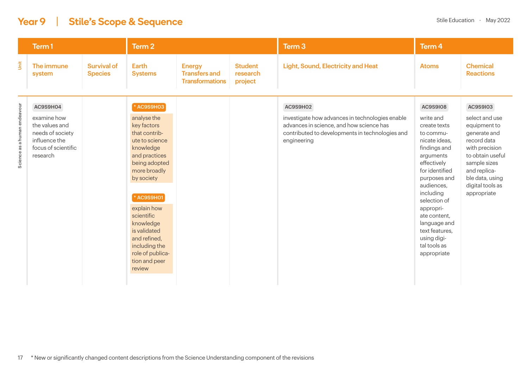#### **Year 9** | Stile's Scope & Sequence Stile Education **Property Stile Education** • May 2022

|                              | Term 1                                                                                                            |                                      | Term 2                                                                                                                                                                                                                                                                                                           |                                                                 |                                       | Term <sub>3</sub>                                                                                                                                                         | Term 4                                                                                                                                                                                                                                                                                                           |                                                                                                                                                                                                       |
|------------------------------|-------------------------------------------------------------------------------------------------------------------|--------------------------------------|------------------------------------------------------------------------------------------------------------------------------------------------------------------------------------------------------------------------------------------------------------------------------------------------------------------|-----------------------------------------------------------------|---------------------------------------|---------------------------------------------------------------------------------------------------------------------------------------------------------------------------|------------------------------------------------------------------------------------------------------------------------------------------------------------------------------------------------------------------------------------------------------------------------------------------------------------------|-------------------------------------------------------------------------------------------------------------------------------------------------------------------------------------------------------|
| Unit                         | The immune<br>system                                                                                              | <b>Survival of</b><br><b>Species</b> | Earth<br><b>Systems</b>                                                                                                                                                                                                                                                                                          | <b>Energy</b><br><b>Transfers and</b><br><b>Transformations</b> | <b>Student</b><br>research<br>project | <b>Light, Sound, Electricity and Heat</b>                                                                                                                                 | <b>Atoms</b>                                                                                                                                                                                                                                                                                                     | <b>Chemical</b><br><b>Reactions</b>                                                                                                                                                                   |
| Science as a human endeavour | AC9S9H04<br>examine how<br>the values and<br>needs of society<br>influence the<br>focus of scientific<br>research |                                      | * AC9S9H03<br>analyse the<br>key factors<br>that contrib-<br>ute to science<br>knowledge<br>and practices<br>being adopted<br>more broadly<br>by society<br>* AC9S9H01<br>explain how<br>scientific<br>knowledge<br>is validated<br>and refined,<br>including the<br>role of publica-<br>tion and peer<br>review |                                                                 |                                       | AC9S9H02<br>investigate how advances in technologies enable<br>advances in science, and how science has<br>contributed to developments in technologies and<br>engineering | <b>AC9S9I08</b><br>write and<br>create texts<br>to commu-<br>nicate ideas,<br>findings and<br>arguments<br>effectively<br>for identified<br>purposes and<br>audiences,<br>including<br>selection of<br>appropri-<br>ate content.<br>language and<br>text features,<br>using digi-<br>tal tools as<br>appropriate | AC9S9I03<br>select and use<br>equipment to<br>generate and<br>record data<br>with precision<br>to obtain useful<br>sample sizes<br>and replica-<br>ble data, using<br>digital tools as<br>appropriate |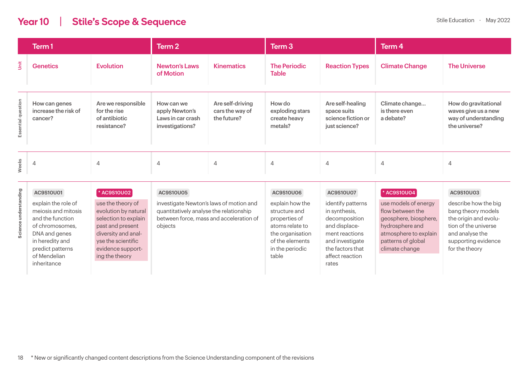#### **Year 10** | Stile's Scope & Sequence Stile Education • May 2022

|                    | Term 1                                           |                                                                    | Term 2                                                               |                                                    | Term 3                                               |                                                                        | Term 4                                       |                                                                                      |  |
|--------------------|--------------------------------------------------|--------------------------------------------------------------------|----------------------------------------------------------------------|----------------------------------------------------|------------------------------------------------------|------------------------------------------------------------------------|----------------------------------------------|--------------------------------------------------------------------------------------|--|
| Unit               | <b>Genetics</b>                                  | <b>Evolution</b>                                                   | <b>Newton's Laws</b><br>of Motion                                    | <b>Kinematics</b>                                  | <b>The Periodic</b><br><b>Table</b>                  | <b>Reaction Types</b>                                                  | <b>Climate Change</b>                        | <b>The Universe</b>                                                                  |  |
| Essential question | How can genes<br>increase the risk of<br>cancer? | Are we responsible<br>for the rise<br>of antibiotic<br>resistance? | How can we<br>apply Newton's<br>Laws in car crash<br>investigations? | Are self-driving<br>cars the way of<br>the future? | How do<br>exploding stars<br>create heavy<br>metals? | Are self-healing<br>space suits<br>science fiction or<br>just science? | Climate change<br>is there even<br>a debate? | How do gravitational<br>waves give us a new<br>way of understanding<br>the universe? |  |
| Weeks              | $\overline{A}$                                   | 4                                                                  | 4                                                                    | $\overline{4}$                                     | 4                                                    | $\overline{4}$                                                         | 4                                            | 4                                                                                    |  |

| 0 | AC9S10U01                                                                                                                                                                | * AC9S10U02                                                                                                                                                               | AC9S10U05                                                                                                                                | <b>AC9S10U06</b>                                                                                                                        | AC9S10U07                                                                                                                                                 | <b>*AC9S10U04</b>                                                                                                                                     | AC9S10U03                                                                                                                                               |
|---|--------------------------------------------------------------------------------------------------------------------------------------------------------------------------|---------------------------------------------------------------------------------------------------------------------------------------------------------------------------|------------------------------------------------------------------------------------------------------------------------------------------|-----------------------------------------------------------------------------------------------------------------------------------------|-----------------------------------------------------------------------------------------------------------------------------------------------------------|-------------------------------------------------------------------------------------------------------------------------------------------------------|---------------------------------------------------------------------------------------------------------------------------------------------------------|
|   | explain the role of<br>meiosis and mitosis<br>and the function<br>of chromosomes,<br>DNA and genes<br>in heredity and<br>predict patterns<br>of Mendelian<br>inheritance | use the theory of<br>evolution by natural<br>selection to explain<br>past and present<br>diversity and anal-<br>yse the scientific<br>evidence support-<br>ing the theory | investigate Newton's laws of motion and<br>quantitatively analyse the relationship<br>between force, mass and acceleration of<br>objects | explain how the<br>structure and<br>properties of<br>atoms relate to<br>the organisation<br>of the elements<br>in the periodic<br>table | identify patterns<br>in synthesis,<br>decomposition<br>and displace-<br>ment reactions<br>and investigate<br>the factors that<br>affect reaction<br>rates | use models of energy<br>flow between the<br>geosphere, biosphere,<br>hydrosphere and<br>atmosphere to explain<br>patterns of global<br>climate change | describe how the big<br>bang theory models<br>the origin and evolu-<br>tion of the universe<br>and analyse the<br>supporting evidence<br>for the theory |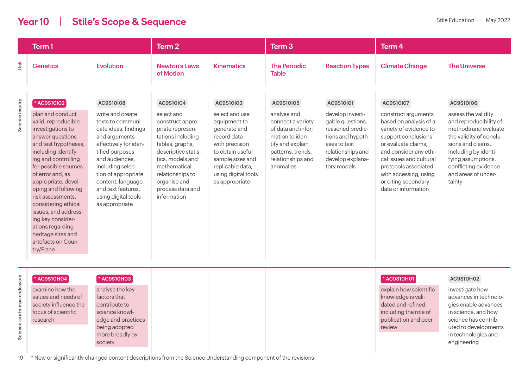#### **Year 10** | Stile's Scope & Sequence Stile Education • May 2022

uted to developments in technologies and engineering

|                              | Term 1                                                                                                                                                                                                                                                                                                                                                                                                                                |                                                                                                                                                                                                                                                                                          | Term <sub>2</sub>                                                                                                                                                                                                                         |                                                                                                                                                                                                   | Term <sub>3</sub>                                                                                                                                                 |                                                                                                                                                                    | Term <sub>4</sub>                                                                                                                                                                                                                                                                      |                                                                                                                                                                                                                                           |  |
|------------------------------|---------------------------------------------------------------------------------------------------------------------------------------------------------------------------------------------------------------------------------------------------------------------------------------------------------------------------------------------------------------------------------------------------------------------------------------|------------------------------------------------------------------------------------------------------------------------------------------------------------------------------------------------------------------------------------------------------------------------------------------|-------------------------------------------------------------------------------------------------------------------------------------------------------------------------------------------------------------------------------------------|---------------------------------------------------------------------------------------------------------------------------------------------------------------------------------------------------|-------------------------------------------------------------------------------------------------------------------------------------------------------------------|--------------------------------------------------------------------------------------------------------------------------------------------------------------------|----------------------------------------------------------------------------------------------------------------------------------------------------------------------------------------------------------------------------------------------------------------------------------------|-------------------------------------------------------------------------------------------------------------------------------------------------------------------------------------------------------------------------------------------|--|
| Ŝ                            | <b>Genetics</b>                                                                                                                                                                                                                                                                                                                                                                                                                       | <b>Evolution</b>                                                                                                                                                                                                                                                                         | <b>Newton's Laws</b><br>of Motion                                                                                                                                                                                                         | <b>Kinematics</b>                                                                                                                                                                                 | <b>The Periodic</b><br><b>Table</b>                                                                                                                               | <b>Reaction Types</b>                                                                                                                                              | <b>Climate Change</b>                                                                                                                                                                                                                                                                  | <b>The Universe</b>                                                                                                                                                                                                                       |  |
| Science inquiry              | * AC9S10102<br>plan and conduct<br>valid, reproducible<br>investigations to<br>answer questions<br>and test hypotheses,<br>including identify-<br>ing and controlling<br>for possible sources<br>of error and, as<br>appropriate, devel-<br>oping and following<br>risk assessments,<br>considering ethical<br>issues, and address-<br>ing key consider-<br>ations regarding<br>heritage sites and<br>artefacts on Coun-<br>try/Place | AC9S10I08<br>write and create<br>texts to communi-<br>cate ideas, findings<br>and arguments<br>effectively for iden-<br>tified purposes<br>and audiences,<br>including selec-<br>tion of appropriate<br>content, language<br>and text features,<br>using digital tools<br>as appropriate | AC9S10I04<br>select and<br>construct appro-<br>priate represen-<br>tations including<br>tables, graphs,<br>descriptive statis-<br>tics, models and<br>mathematical<br>relationships to<br>organise and<br>process data and<br>information | AC9S10I03<br>select and use<br>equipment to<br>generate and<br>record data<br>with precision<br>to obtain useful<br>sample sizes and<br>replicable data,<br>using digital tools<br>as appropriate | AC9S10I05<br>analyse and<br>connect a variety<br>of data and infor-<br>mation to iden-<br>tify and explain<br>patterns, trends,<br>relationships and<br>anomalies | AC9S10I01<br>develop investi-<br>gable questions,<br>reasoned predic-<br>tions and hypoth-<br>eses to test<br>relationships and<br>develop explana-<br>tory models | AC9S10I07<br>construct arguments<br>based on analysis of a<br>variety of evidence to<br>support conclusions<br>or evaluate claims,<br>and consider any ethi-<br>cal issues and cultural<br>protocols associated<br>with accessing, using<br>or citing secondary<br>data or information | AC9S10I06<br>assess the validity<br>and reproducibility of<br>methods and evaluate<br>the validity of conclu-<br>sions and claims,<br>including by identi-<br>fying assumptions,<br>conflicting evidence<br>and areas of uncer-<br>tainty |  |
| Science as a human endeavour | * AC9S10H04<br>examine how the<br>values and needs of<br>society influence the<br>focus of scientific<br>research                                                                                                                                                                                                                                                                                                                     | * AC9S10H03<br>analyse the key<br>factors that<br>contribute to<br>science knowl-<br>edge and practices<br>being adopted<br>more broadly by                                                                                                                                              |                                                                                                                                                                                                                                           |                                                                                                                                                                                                   |                                                                                                                                                                   |                                                                                                                                                                    | * AC9S10H01<br>explain how scientific<br>knowledge is vali-<br>dated and refined,<br>including the role of<br>publication and peer<br>review                                                                                                                                           | <b>AC9S10H02</b><br>investigate how<br>advances in technolo-<br>gies enable advances<br>in science, and how<br>science has contrib-<br>uted to developments<br>in technologies and                                                        |  |

Science a

society

19 \* New or significantly changed content descriptions from the Science Understanding component of the revisions